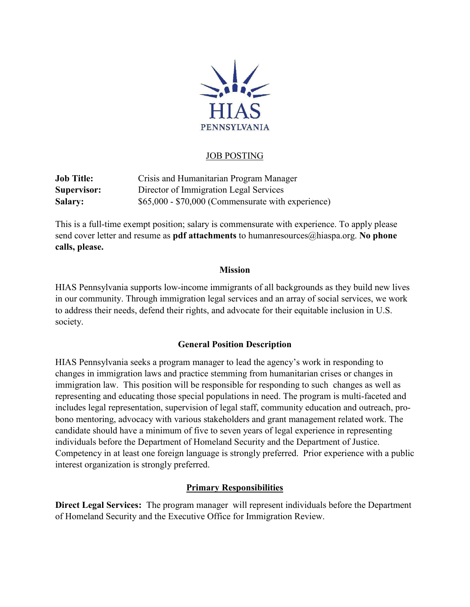

## JOB POSTING

**Job Title:** Crisis and Humanitarian Program Manager **Supervisor:** Director of Immigration Legal Services **Salary:** \$65,000 - \$70,000 (Commensurate with experience)

This is a full-time exempt position; salary is commensurate with experience. To apply please send cover letter and resume as **pdf attachments** to humanresources@hiaspa.org. **No phone calls, please.**

#### **Mission**

HIAS Pennsylvania supports low-income immigrants of all backgrounds as they build new lives in our community. Through immigration legal services and an array of social services, we work to address their needs, defend their rights, and advocate for their equitable inclusion in U.S. society.

## **General Position Description**

HIAS Pennsylvania seeks a program manager to lead the agency's work in responding to changes in immigration laws and practice stemming from humanitarian crises or changes in immigration law. This position will be responsible for responding to such changes as well as representing and educating those special populations in need. The program is multi-faceted and includes legal representation, supervision of legal staff, community education and outreach, probono mentoring, advocacy with various stakeholders and grant management related work. The candidate should have a minimum of five to seven years of legal experience in representing individuals before the Department of Homeland Security and the Department of Justice. Competency in at least one foreign language is strongly preferred. Prior experience with a public interest organization is strongly preferred.

## **Primary Responsibilities**

**Direct Legal Services:** The program manager will represent individuals before the Department of Homeland Security and the Executive Office for Immigration Review.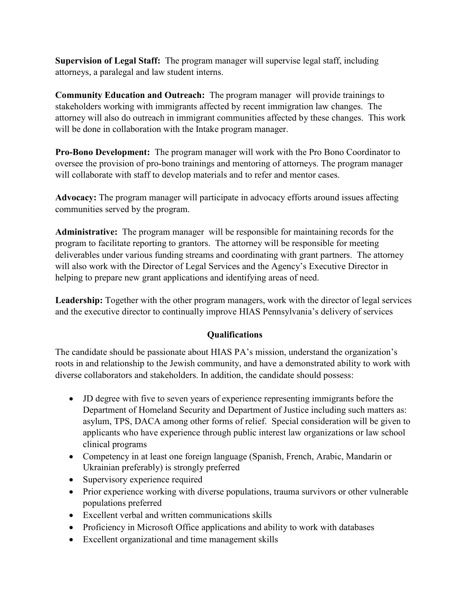**Supervision of Legal Staff:** The program manager will supervise legal staff, including attorneys, a paralegal and law student interns.

**Community Education and Outreach:** The program manager will provide trainings to stakeholders working with immigrants affected by recent immigration law changes. The attorney will also do outreach in immigrant communities affected by these changes. This work will be done in collaboration with the Intake program manager.

**Pro-Bono Development:** The program manager will work with the Pro Bono Coordinator to oversee the provision of pro-bono trainings and mentoring of attorneys. The program manager will collaborate with staff to develop materials and to refer and mentor cases.

**Advocacy:** The program manager will participate in advocacy efforts around issues affecting communities served by the program.

**Administrative:** The program manager will be responsible for maintaining records for the program to facilitate reporting to grantors. The attorney will be responsible for meeting deliverables under various funding streams and coordinating with grant partners. The attorney will also work with the Director of Legal Services and the Agency's Executive Director in helping to prepare new grant applications and identifying areas of need.

**Leadership:** Together with the other program managers, work with the director of legal services and the executive director to continually improve HIAS Pennsylvania's delivery of services

# **Qualifications**

The candidate should be passionate about HIAS PA's mission, understand the organization's roots in and relationship to the Jewish community, and have a demonstrated ability to work with diverse collaborators and stakeholders. In addition, the candidate should possess:

- JD degree with five to seven years of experience representing immigrants before the Department of Homeland Security and Department of Justice including such matters as: asylum, TPS, DACA among other forms of relief. Special consideration will be given to applicants who have experience through public interest law organizations or law school clinical programs
- Competency in at least one foreign language (Spanish, French, Arabic, Mandarin or Ukrainian preferably) is strongly preferred
- Supervisory experience required
- Prior experience working with diverse populations, trauma survivors or other vulnerable populations preferred
- Excellent verbal and written communications skills
- Proficiency in Microsoft Office applications and ability to work with databases
- Excellent organizational and time management skills